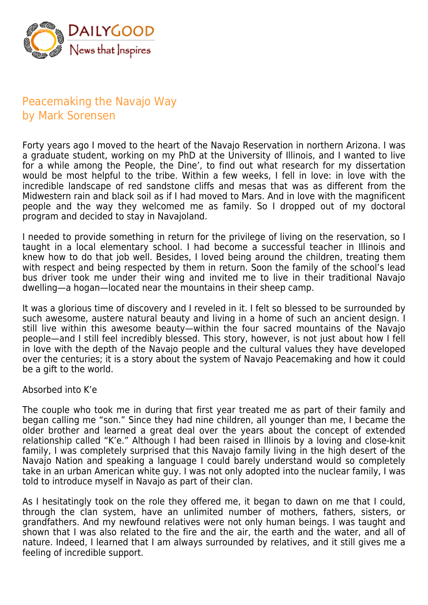

## Peacemaking the Navajo Way by Mark Sorensen

Forty years ago I moved to the heart of the Navajo Reservation in northern Arizona. I was a graduate student, working on my PhD at the University of Illinois, and I wanted to live for a while among the People, the Dine', to find out what research for my dissertation would be most helpful to the tribe. Within a few weeks, I fell in love: in love with the incredible landscape of red sandstone cliffs and mesas that was as different from the Midwestern rain and black soil as if I had moved to Mars. And in love with the magnificent people and the way they welcomed me as family. So I dropped out of my doctoral program and decided to stay in Navajoland.

I needed to provide something in return for the privilege of living on the reservation, so I taught in a local elementary school. I had become a successful teacher in Illinois and knew how to do that job well. Besides, I loved being around the children, treating them with respect and being respected by them in return. Soon the family of the school's lead bus driver took me under their wing and invited me to live in their traditional Navajo dwelling—a hogan—located near the mountains in their sheep camp.

It was a glorious time of discovery and I reveled in it. I felt so blessed to be surrounded by such awesome, austere natural beauty and living in a home of such an ancient design. I still live within this awesome beauty—within the four sacred mountains of the Navajo people—and I still feel incredibly blessed. This story, however, is not just about how I fell in love with the depth of the Navajo people and the cultural values they have developed over the centuries; it is a story about the system of Navajo Peacemaking and how it could be a gift to the world.

## Absorbed into K'e

The couple who took me in during that first year treated me as part of their family and began calling me "son." Since they had nine children, all younger than me, I became the older brother and learned a great deal over the years about the concept of extended relationship called "K'e." Although I had been raised in Illinois by a loving and close-knit family, I was completely surprised that this Navajo family living in the high desert of the Navajo Nation and speaking a language I could barely understand would so completely take in an urban American white guy. I was not only adopted into the nuclear family, I was told to introduce myself in Navajo as part of their clan.

As I hesitatingly took on the role they offered me, it began to dawn on me that I could, through the clan system, have an unlimited number of mothers, fathers, sisters, or grandfathers. And my newfound relatives were not only human beings. I was taught and shown that I was also related to the fire and the air, the earth and the water, and all of nature. Indeed, I learned that I am always surrounded by relatives, and it still gives me a feeling of incredible support.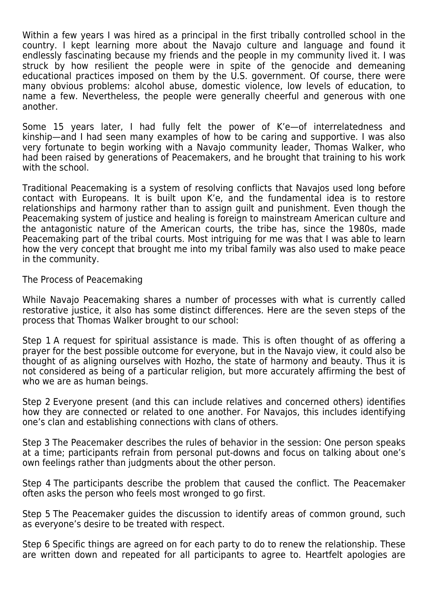Within a few years I was hired as a principal in the first tribally controlled school in the country. I kept learning more about the Navajo culture and language and found it endlessly fascinating because my friends and the people in my community lived it. I was struck by how resilient the people were in spite of the genocide and demeaning educational practices imposed on them by the U.S. government. Of course, there were many obvious problems: alcohol abuse, domestic violence, low levels of education, to name a few. Nevertheless, the people were generally cheerful and generous with one another.

Some 15 years later, I had fully felt the power of K'e—of interrelatedness and kinship—and I had seen many examples of how to be caring and supportive. I was also very fortunate to begin working with a Navajo community leader, Thomas Walker, who had been raised by generations of Peacemakers, and he brought that training to his work with the school.

Traditional Peacemaking is a system of resolving conflicts that Navajos used long before contact with Europeans. It is built upon K'e, and the fundamental idea is to restore relationships and harmony rather than to assign guilt and punishment. Even though the Peacemaking system of justice and healing is foreign to mainstream American culture and the antagonistic nature of the American courts, the tribe has, since the 1980s, made Peacemaking part of the tribal courts. Most intriguing for me was that I was able to learn how the very concept that brought me into my tribal family was also used to make peace in the community.

The Process of Peacemaking

While Navajo Peacemaking shares a number of processes with what is currently called restorative justice, it also has some distinct differences. Here are the seven steps of the process that Thomas Walker brought to our school:

Step 1 A request for spiritual assistance is made. This is often thought of as offering a prayer for the best possible outcome for everyone, but in the Navajo view, it could also be thought of as aligning ourselves with Hozho, the state of harmony and beauty. Thus it is not considered as being of a particular religion, but more accurately affirming the best of who we are as human beings.

Step 2 Everyone present (and this can include relatives and concerned others) identifies how they are connected or related to one another. For Navajos, this includes identifying one's clan and establishing connections with clans of others.

Step 3 The Peacemaker describes the rules of behavior in the session: One person speaks at a time; participants refrain from personal put-downs and focus on talking about one's own feelings rather than judgments about the other person.

Step 4 The participants describe the problem that caused the conflict. The Peacemaker often asks the person who feels most wronged to go first.

Step 5 The Peacemaker guides the discussion to identify areas of common ground, such as everyone's desire to be treated with respect.

Step 6 Specific things are agreed on for each party to do to renew the relationship. These are written down and repeated for all participants to agree to. Heartfelt apologies are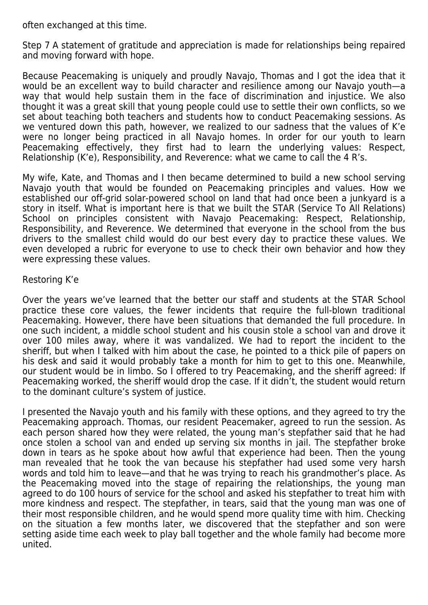often exchanged at this time.

Step 7 A statement of gratitude and appreciation is made for relationships being repaired and moving forward with hope.

Because Peacemaking is uniquely and proudly Navajo, Thomas and I got the idea that it would be an excellent way to build character and resilience among our Navajo youth—a way that would help sustain them in the face of discrimination and injustice. We also thought it was a great skill that young people could use to settle their own conflicts, so we set about teaching both teachers and students how to conduct Peacemaking sessions. As we ventured down this path, however, we realized to our sadness that the values of K'e were no longer being practiced in all Navajo homes. In order for our youth to learn Peacemaking effectively, they first had to learn the underlying values: Respect, Relationship (K'e), Responsibility, and Reverence: what we came to call the 4 R's.

My wife, Kate, and Thomas and I then became determined to build a new school serving Navajo youth that would be founded on Peacemaking principles and values. How we established our off-grid solar-powered school on land that had once been a junkyard is a story in itself. What is important here is that we built the STAR (Service To All Relations) School on principles consistent with Navajo Peacemaking: Respect, Relationship, Responsibility, and Reverence. We determined that everyone in the school from the bus drivers to the smallest child would do our best every day to practice these values. We even developed a rubric for everyone to use to check their own behavior and how they were expressing these values.

## Restoring K'e

Over the years we've learned that the better our staff and students at the STAR School practice these core values, the fewer incidents that require the full-blown traditional Peacemaking. However, there have been situations that demanded the full procedure. In one such incident, a middle school student and his cousin stole a school van and drove it over 100 miles away, where it was vandalized. We had to report the incident to the sheriff, but when I talked with him about the case, he pointed to a thick pile of papers on his desk and said it would probably take a month for him to get to this one. Meanwhile, our student would be in limbo. So I offered to try Peacemaking, and the sheriff agreed: If Peacemaking worked, the sheriff would drop the case. If it didn't, the student would return to the dominant culture's system of justice.

I presented the Navajo youth and his family with these options, and they agreed to try the Peacemaking approach. Thomas, our resident Peacemaker, agreed to run the session. As each person shared how they were related, the young man's stepfather said that he had once stolen a school van and ended up serving six months in jail. The stepfather broke down in tears as he spoke about how awful that experience had been. Then the young man revealed that he took the van because his stepfather had used some very harsh words and told him to leave—and that he was trying to reach his grandmother's place. As the Peacemaking moved into the stage of repairing the relationships, the young man agreed to do 100 hours of service for the school and asked his stepfather to treat him with more kindness and respect. The stepfather, in tears, said that the young man was one of their most responsible children, and he would spend more quality time with him. Checking on the situation a few months later, we discovered that the stepfather and son were setting aside time each week to play ball together and the whole family had become more united.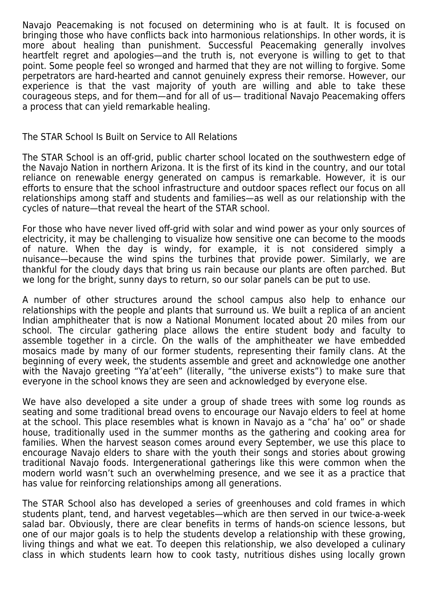Navajo Peacemaking is not focused on determining who is at fault. It is focused on bringing those who have conflicts back into harmonious relationships. In other words, it is more about healing than punishment. Successful Peacemaking generally involves heartfelt regret and apologies—and the truth is, not everyone is willing to get to that point. Some people feel so wronged and harmed that they are not willing to forgive. Some perpetrators are hard-hearted and cannot genuinely express their remorse. However, our experience is that the vast majority of youth are willing and able to take these courageous steps, and for them—and for all of us— traditional Navajo Peacemaking offers a process that can yield remarkable healing.

The STAR School Is Built on Service to All Relations

The STAR School is an off-grid, public charter school located on the southwestern edge of the Navajo Nation in northern Arizona. It is the first of its kind in the country, and our total reliance on renewable energy generated on campus is remarkable. However, it is our efforts to ensure that the school infrastructure and outdoor spaces reflect our focus on all relationships among staff and students and families—as well as our relationship with the cycles of nature—that reveal the heart of the STAR school.

For those who have never lived off-grid with solar and wind power as your only sources of electricity, it may be challenging to visualize how sensitive one can become to the moods of nature. When the day is windy, for example, it is not considered simply a nuisance—because the wind spins the turbines that provide power. Similarly, we are thankful for the cloudy days that bring us rain because our plants are often parched. But we long for the bright, sunny days to return, so our solar panels can be put to use.

A number of other structures around the school campus also help to enhance our relationships with the people and plants that surround us. We built a replica of an ancient Indian amphitheater that is now a National Monument located about 20 miles from our school. The circular gathering place allows the entire student body and faculty to assemble together in a circle. On the walls of the amphitheater we have embedded mosaics made by many of our former students, representing their family clans. At the beginning of every week, the students assemble and greet and acknowledge one another with the Navajo greeting "Ya'at'eeh" (literally, "the universe exists") to make sure that everyone in the school knows they are seen and acknowledged by everyone else.

We have also developed a site under a group of shade trees with some log rounds as seating and some traditional bread ovens to encourage our Navajo elders to feel at home at the school. This place resembles what is known in Navajo as a "cha' ha' oo" or shade house, traditionally used in the summer months as the gathering and cooking area for families. When the harvest season comes around every September, we use this place to encourage Navajo elders to share with the youth their songs and stories about growing traditional Navajo foods. Intergenerational gatherings like this were common when the modern world wasn't such an overwhelming presence, and we see it as a practice that has value for reinforcing relationships among all generations.

The STAR School also has developed a series of greenhouses and cold frames in which students plant, tend, and harvest vegetables—which are then served in our twice-a-week salad bar. Obviously, there are clear benefits in terms of hands-on science lessons, but one of our major goals is to help the students develop a relationship with these growing, living things and what we eat. To deepen this relationship, we also developed a culinary class in which students learn how to cook tasty, nutritious dishes using locally grown